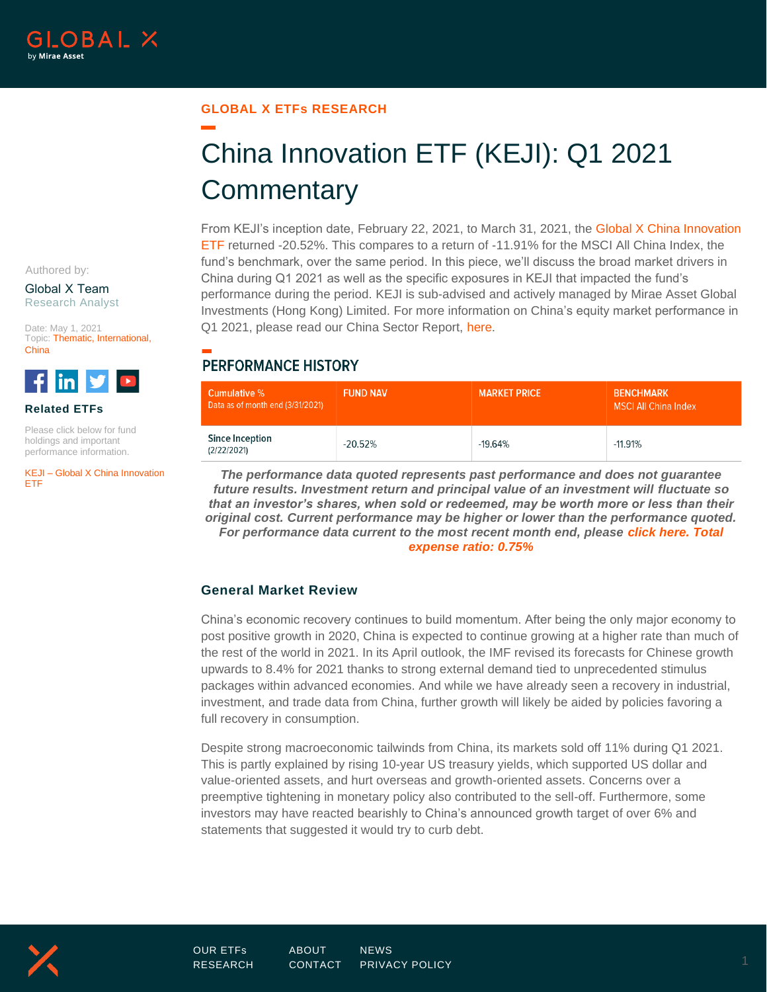#### **GLOBAL X ETFs RESEARCH**

# China Innovation ETF (KEJI): Q1 2021 **Commentary**

From KEJI's inception date, February 22, 2021, to March 31, 2021, the [Global X China Innovation](http://www.globalxetfs.com/funds/keji)  [ETF](http://www.globalxetfs.com/funds/keji) returned -20.52%. This compares to a return of -11.91% for the MSCI All China Index, the fund's benchmark, over the same period. In this piece, we'll discuss the broad market drivers in China during Q1 2021 as well as the specific exposures in KEJI that impacted the fund's performance during the period. KEJI is sub-advised and actively managed by Mirae Asset Global Investments (Hong Kong) Limited. For more information on China's equity market performance in Q1 2021, please read our China Sector Report, [here.](https://www.globalxetfs.com/china-sector-report-q1-2021/)

## **PERFORMANCE HISTORY**

| Cumulative %<br>Data as of month end (3/31/2021) | <b>FUND NAV</b> | <b>MARKET PRICE</b> | <b>BENCHMARK</b><br><b>MSCI All China Index</b> |
|--------------------------------------------------|-----------------|---------------------|-------------------------------------------------|
| Since Inception<br>(2/22/2021)                   | $-20.52%$       | $-19.64\%$          | $-11.91%$                                       |

*The performance data quoted represents past performance and does not guarantee future results. Investment return and principal value of an investment will fluctuate so that an investor's shares, when sold or redeemed, may be worth more or less than their original cost. Current performance may be higher or lower than the performance quoted. For performance data current to the most recent month end, please [click here.](https://www.globalxetfs.com/funds/keji/) Total expense ratio: 0.75%*

### **General Market Review**

China's economic recovery continues to build momentum. After being the only major economy to post positive growth in 2020, China is expected to continue growing at a higher rate than much of the rest of the world in 2021. In its April outlook, the IMF revised its forecasts for Chinese growth upwards to 8.4% for 2021 thanks to strong external demand tied to unprecedented stimulus packages within advanced economies. And while we have already seen a recovery in industrial, investment, and trade data from China, further growth will likely be aided by policies favoring a full recovery in consumption.

Despite strong macroeconomic tailwinds from China, its markets sold off 11% during Q1 2021. This is partly explained by rising 10-year US treasury yields, which supported US dollar and value-oriented assets, and hurt overseas and growth-oriented assets. Concerns over a preemptive tightening in monetary policy also contributed to the sell-off. Furthermore, some investors may have reacted bearishly to China's announced growth target of over 6% and statements that suggested it would try to curb debt.

Authored by:

Global X Team Research Analyst

Date: May 1, 2021 Topic: Thematic, International, China



**Related ETFs**

Please click below for fund holdings and important performance information.

KEJI – Global X China Innovation ETF

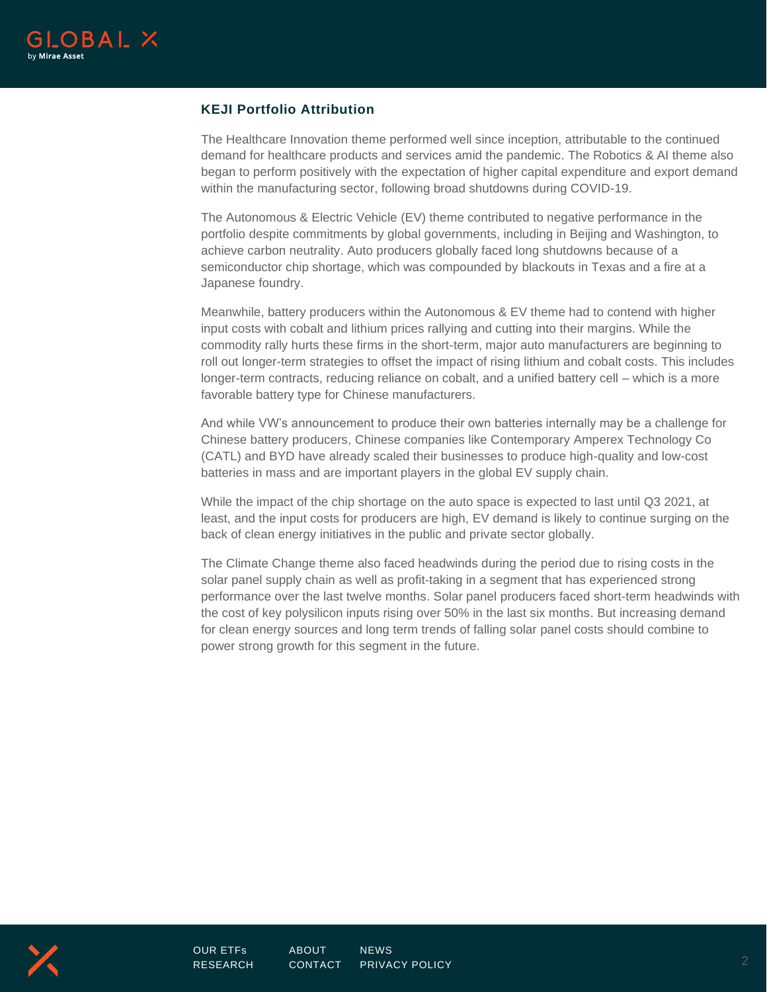

### **KEJI Portfolio Attribution**

The Healthcare Innovation theme performed well since inception, attributable to the continued demand for healthcare products and services amid the pandemic. The Robotics & AI theme also began to perform positively with the expectation of higher capital expenditure and export demand within the manufacturing sector, following broad shutdowns during COVID-19.

The Autonomous & Electric Vehicle (EV) theme contributed to negative performance in the portfolio despite commitments by global governments, including in Beijing and Washington, to achieve carbon neutrality. Auto producers globally faced long shutdowns because of a semiconductor chip shortage, which was compounded by blackouts in Texas and a fire at a Japanese foundry.

Meanwhile, battery producers within the Autonomous & EV theme had to contend with higher input costs with cobalt and lithium prices rallying and cutting into their margins. While the commodity rally hurts these firms in the short-term, major auto manufacturers are beginning to roll out longer-term strategies to offset the impact of rising lithium and cobalt costs. This includes longer-term contracts, reducing reliance on cobalt, and a unified battery cell – which is a more favorable battery type for Chinese manufacturers.

And while VW's announcement to produce their own batteries internally may be a challenge for Chinese battery producers, Chinese companies like Contemporary Amperex Technology Co (CATL) and BYD have already scaled their businesses to produce high-quality and low-cost batteries in mass and are important players in the global EV supply chain.

While the impact of the chip shortage on the auto space is expected to last until Q3 2021, at least, and the input costs for producers are high, EV demand is likely to continue surging on the back of clean energy initiatives in the public and private sector globally.

The Climate Change theme also faced headwinds during the period due to rising costs in the solar panel supply chain as well as profit-taking in a segment that has experienced strong performance over the last twelve months. Solar panel producers faced short-term headwinds with the cost of key polysilicon inputs rising over 50% in the last six months. But increasing demand for clean energy sources and long term trends of falling solar panel costs should combine to power strong growth for this segment in the future.

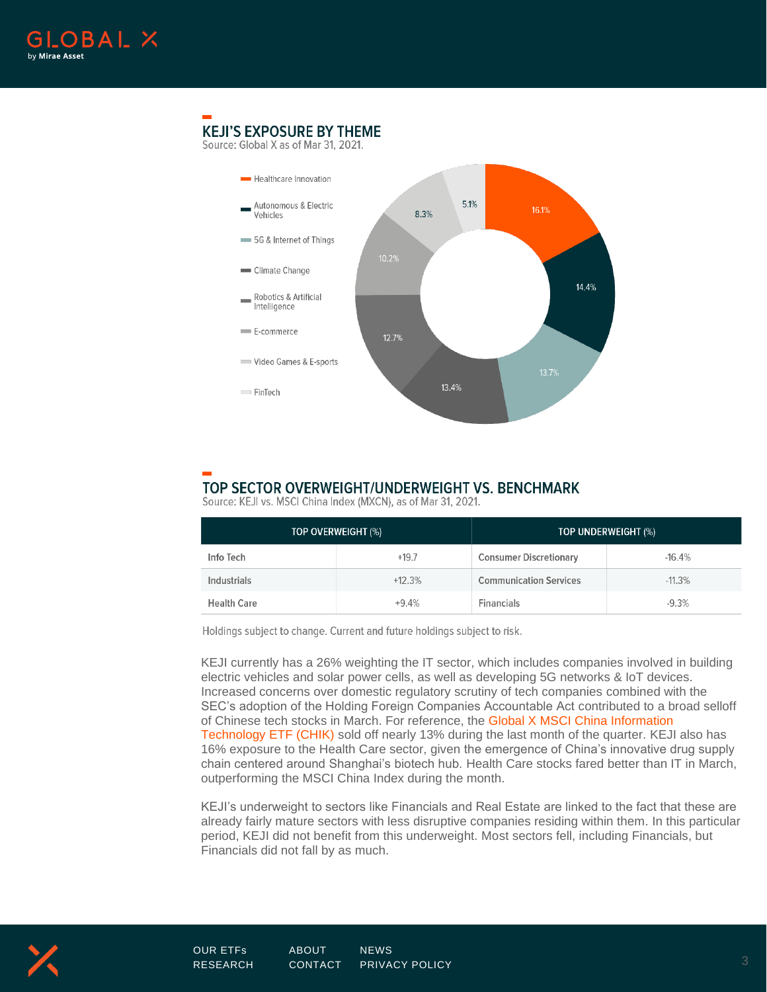

## **KEJI'S EXPOSURE BY THEME**

Source: Global X as of Mar 31, 2021.



## TOP SECTOR OVERWEIGHT/UNDERWEIGHT VS. BENCHMARK

Source: KEJI vs. MSCI China Index (MXCN), as of Mar 31, 2021.

| TOP OVERWEIGHT (%) |          | TOP UNDERWEIGHT (%)           |          |
|--------------------|----------|-------------------------------|----------|
| Info Tech          | $+19.7$  | <b>Consumer Discretionary</b> | $-16.4%$ |
| Industrials        | $+12.3%$ | <b>Communication Services</b> | $-11.3%$ |
| <b>Health Care</b> | $+9.4%$  | <b>Financials</b>             | $-9.3%$  |

Holdings subject to change. Current and future holdings subject to risk.

KEJI currently has a 26% weighting the IT sector, which includes companies involved in building electric vehicles and solar power cells, as well as developing 5G networks & IoT devices. Increased concerns over domestic regulatory scrutiny of tech companies combined with the SEC's adoption of the Holding Foreign Companies Accountable Act contributed to a broad selloff of Chinese tech stocks in March. For reference, the [Global X MSCI China Information](http://www.globalxetfs.com/funds/chik)  [Technology ETF \(CHIK\)](http://www.globalxetfs.com/funds/chik) sold off nearly 13% during the last month of the quarter. KEJI also has 16% exposure to the Health Care sector, given the emergence of China's innovative drug supply chain centered around Shanghai's biotech hub. Health Care stocks fared better than IT in March, outperforming the MSCI China Index during the month.

KEJI's underweight to sectors like Financials and Real Estate are linked to the fact that these are already fairly mature sectors with less disruptive companies residing within them. In this particular period, KEJI did not benefit from this underweight. Most sectors fell, including Financials, but Financials did not fall by as much.

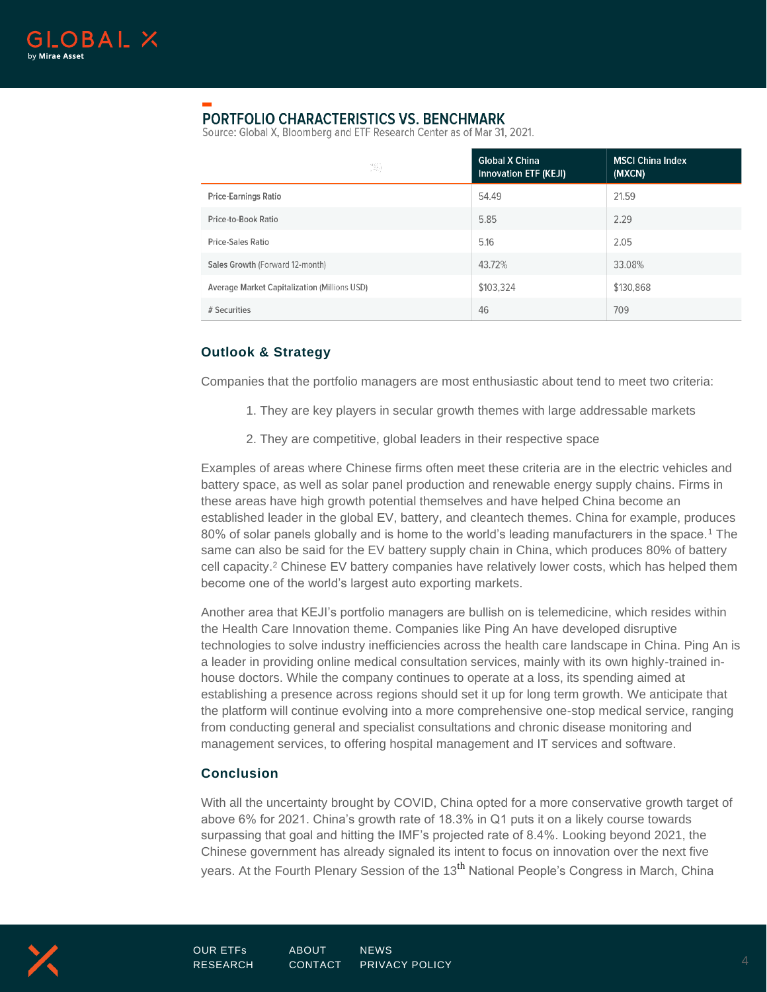

## **PORTFOLIO CHARACTERISTICS VS. BENCHMARK**

Source: Global X, Bloomberg and ETF Research Center as of Mar 31, 2021.

|                                              | <b>Global X China</b><br>Innovation ETF (KEJI) | <b>MSCI China Index</b><br>(MXCN) |
|----------------------------------------------|------------------------------------------------|-----------------------------------|
| <b>Price-Earnings Ratio</b>                  | 54.49                                          | 21.59                             |
| Price-to-Book Ratio                          | 5.85                                           | 2.29                              |
| <b>Price-Sales Ratio</b>                     | 5.16                                           | 2.05                              |
| Sales Growth (Forward 12-month)              | 43.72%                                         | 33.08%                            |
| Average Market Capitalization (Millions USD) | \$103,324                                      | \$130,868                         |
| # Securities                                 | 46                                             | 709                               |

## **Outlook & Strategy**

Companies that the portfolio managers are most enthusiastic about tend to meet two criteria:

- 1. They are key players in secular growth themes with large addressable markets
- 2. They are competitive, global leaders in their respective space

Examples of areas where Chinese firms often meet these criteria are in the electric vehicles and battery space, as well as solar panel production and renewable energy supply chains. Firms in these areas have high growth potential themselves and have helped China become an established leader in the global EV, battery, and cleantech themes. China for example, produces 80% of solar panels globally and is home to the world's leading manufacturers in the space.<sup>1</sup> The same can also be said for the EV battery supply chain in China, which produces 80% of battery cell capacity. <sup>2</sup> Chinese EV battery companies have relatively lower costs, which has helped them become one of the world's largest auto exporting markets.

Another area that KEJI's portfolio managers are bullish on is telemedicine, which resides within the Health Care Innovation theme. Companies like Ping An have developed disruptive technologies to solve industry inefficiencies across the health care landscape in China. Ping An is a leader in providing online medical consultation services, mainly with its own highly-trained inhouse doctors. While the company continues to operate at a loss, its spending aimed at establishing a presence across regions should set it up for long term growth. We anticipate that the platform will continue evolving into a more comprehensive one-stop medical service, ranging from conducting general and specialist consultations and chronic disease monitoring and management services, to offering hospital management and IT services and software.

## **Conclusion**

With all the uncertainty brought by COVID, China opted for a more conservative growth target of above 6% for 2021. China's growth rate of 18.3% in Q1 puts it on a likely course towards surpassing that goal and hitting the IMF's projected rate of 8.4%. Looking beyond 2021, the Chinese government has already signaled its intent to focus on innovation over the next five years. At the Fourth Plenary Session of the 13<sup>th</sup> National People's Congress in March, China

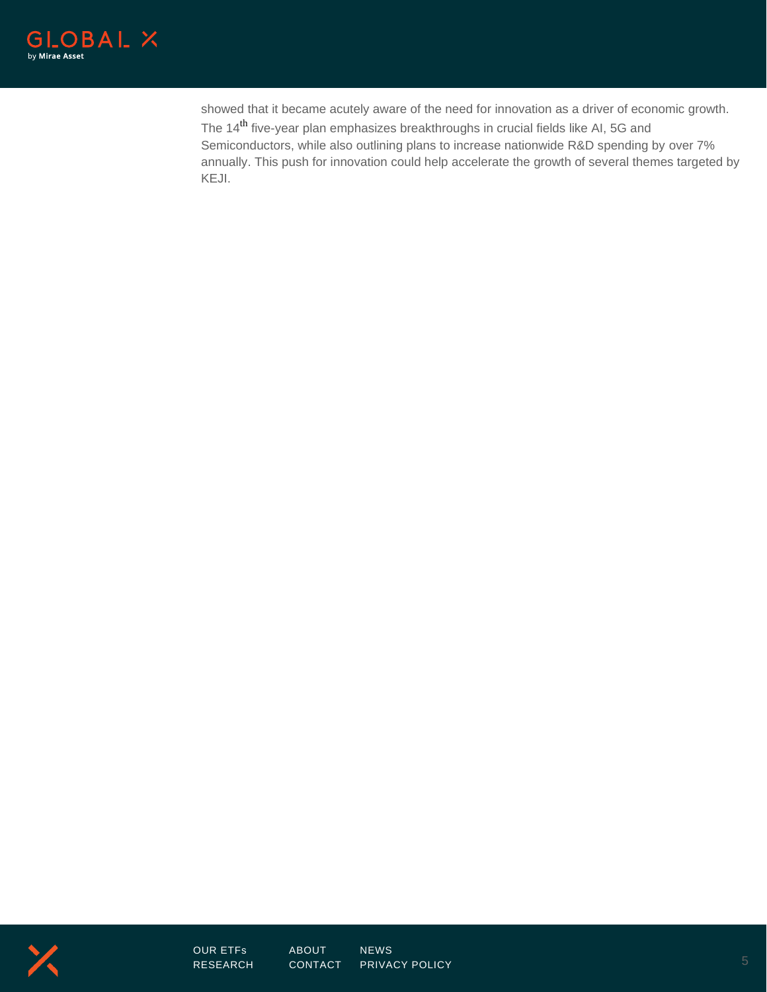

showed that it became acutely aware of the need for innovation as a driver of economic growth. The 14<sup>th</sup> five-year plan emphasizes breakthroughs in crucial fields like AI, 5G and Semiconductors, while also outlining plans to increase nationwide R&D spending by over 7% annually. This push for innovation could help accelerate the growth of several themes targeted by KEJI.

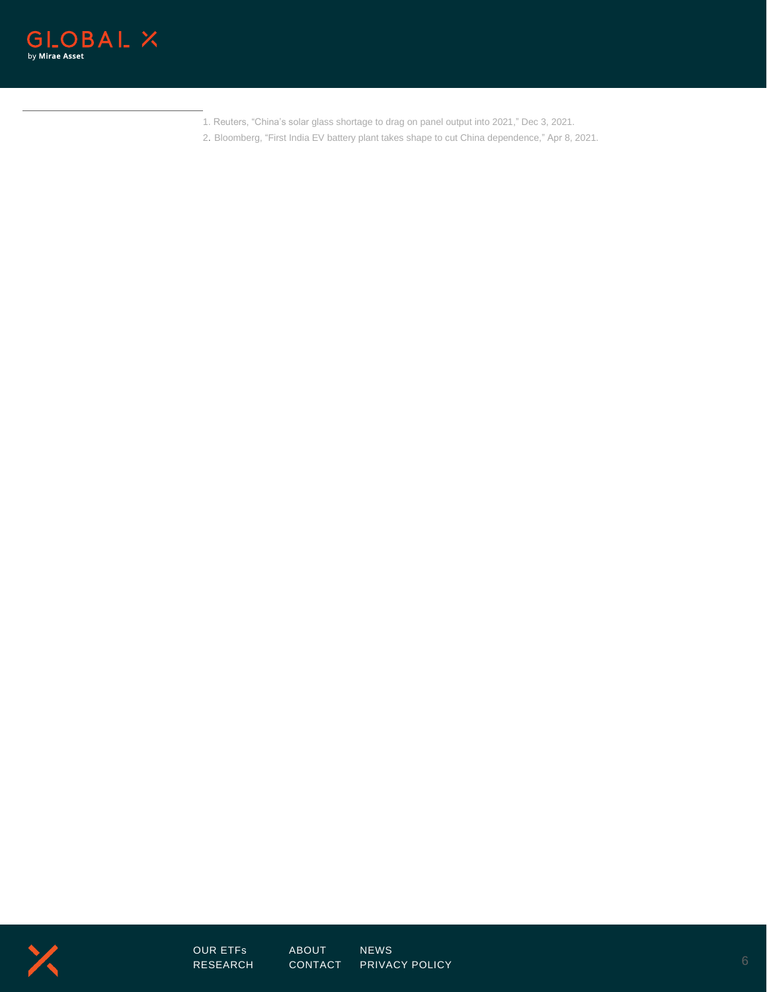

- 1. Reuters, "China's solar glass shortage to drag on panel output into 2021," Dec 3, 2021.
- 2. Bloomberg, "First India EV battery plant takes shape to cut China dependence," Apr 8, 2021.



[OUR ETFs](https://www.globalxetfs.com/) [ABOUT](https://www.globalxetfs.com/about/) [NEWS](https://www.globalxetfs.com/news/)